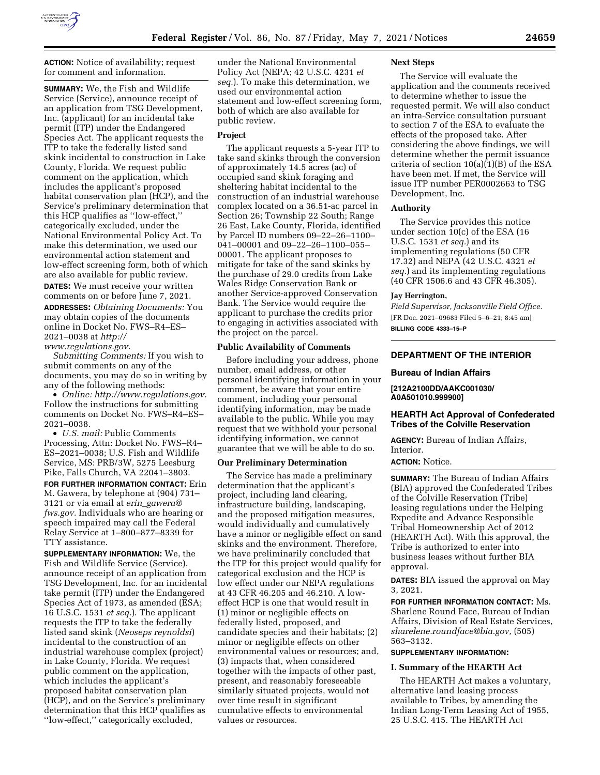

**ACTION:** Notice of availability; request for comment and information.

**SUMMARY:** We, the Fish and Wildlife Service (Service), announce receipt of an application from TSG Development, Inc. (applicant) for an incidental take permit (ITP) under the Endangered Species Act. The applicant requests the ITP to take the federally listed sand skink incidental to construction in Lake County, Florida. We request public comment on the application, which includes the applicant's proposed habitat conservation plan (HCP), and the Service's preliminary determination that this HCP qualifies as ''low-effect,'' categorically excluded, under the National Environmental Policy Act. To make this determination, we used our environmental action statement and low-effect screening form, both of which are also available for public review.

**DATES:** We must receive your written comments on or before June 7, 2021. **ADDRESSES:** *Obtaining Documents:* You may obtain copies of the documents online in Docket No. FWS–R4–ES– 2021–0038 at *[http://](http://www.regulations.gov)*

*[www.regulations.gov.](http://www.regulations.gov) Submitting Comments:* If you wish to submit comments on any of the

documents, you may do so in writing by any of the following methods: • *Online: [http://www.regulations.gov.](http://www.regulations.gov)*  Follow the instructions for submitting

comments on Docket No. FWS–R4–ES– 2021–0038. • *U.S. mail:* Public Comments

Processing, Attn: Docket No. FWS–R4– ES–2021–0038; U.S. Fish and Wildlife Service, MS: PRB/3W, 5275 Leesburg Pike, Falls Church, VA 22041–3803.

**FOR FURTHER INFORMATION CONTACT:** Erin M. Gawera, by telephone at (904) 731– 3121 or via email at *erin*\_*[gawera@](mailto:erin_gawera@fws.gov) [fws.gov.](mailto:erin_gawera@fws.gov)* Individuals who are hearing or speech impaired may call the Federal Relay Service at 1–800–877–8339 for TTY assistance.

**SUPPLEMENTARY INFORMATION:** We, the Fish and Wildlife Service (Service), announce receipt of an application from TSG Development, Inc. for an incidental take permit (ITP) under the Endangered Species Act of 1973, as amended (ESA; 16 U.S.C. 1531 *et seq.*). The applicant requests the ITP to take the federally listed sand skink (*Neoseps reynoldsi*) incidental to the construction of an industrial warehouse complex (project) in Lake County, Florida. We request public comment on the application, which includes the applicant's proposed habitat conservation plan (HCP), and on the Service's preliminary determination that this HCP qualifies as ''low-effect,'' categorically excluded,

under the National Environmental Policy Act (NEPA; 42 U.S.C. 4231 *et seq.*). To make this determination, we used our environmental action statement and low-effect screening form, both of which are also available for public review.

# **Project**

The applicant requests a 5-year ITP to take sand skinks through the conversion of approximately 14.5 acres (ac) of occupied sand skink foraging and sheltering habitat incidental to the construction of an industrial warehouse complex located on a 36.51-ac parcel in Section 26; Township 22 South; Range 26 East, Lake County, Florida, identified by Parcel ID numbers 09–22–26–1100– 041–00001 and 09–22–26–1100–055– 00001. The applicant proposes to mitigate for take of the sand skinks by the purchase of 29.0 credits from Lake Wales Ridge Conservation Bank or another Service-approved Conservation Bank. The Service would require the applicant to purchase the credits prior to engaging in activities associated with the project on the parcel.

#### **Public Availability of Comments**

Before including your address, phone number, email address, or other personal identifying information in your comment, be aware that your entire comment, including your personal identifying information, may be made available to the public. While you may request that we withhold your personal identifying information, we cannot guarantee that we will be able to do so.

# **Our Preliminary Determination**

The Service has made a preliminary determination that the applicant's project, including land clearing, infrastructure building, landscaping, and the proposed mitigation measures, would individually and cumulatively have a minor or negligible effect on sand skinks and the environment. Therefore, we have preliminarily concluded that the ITP for this project would qualify for categorical exclusion and the HCP is low effect under our NEPA regulations at 43 CFR 46.205 and 46.210. A loweffect HCP is one that would result in (1) minor or negligible effects on federally listed, proposed, and candidate species and their habitats; (2) minor or negligible effects on other environmental values or resources; and, (3) impacts that, when considered together with the impacts of other past, present, and reasonably foreseeable similarly situated projects, would not over time result in significant cumulative effects to environmental values or resources.

#### **Next Steps**

The Service will evaluate the application and the comments received to determine whether to issue the requested permit. We will also conduct an intra-Service consultation pursuant to section 7 of the ESA to evaluate the effects of the proposed take. After considering the above findings, we will determine whether the permit issuance criteria of section 10(a)(1)(B) of the ESA have been met. If met, the Service will issue ITP number PER0002663 to TSG Development, Inc.

### **Authority**

The Service provides this notice under section 10(c) of the ESA (16 U.S.C. 1531 *et seq.*) and its implementing regulations (50 CFR 17.32) and NEPA (42 U.S.C. 4321 *et seq.*) and its implementing regulations (40 CFR 1506.6 and 43 CFR 46.305).

#### **Jay Herrington,**

*Field Supervisor, Jacksonville Field Office.*  [FR Doc. 2021–09683 Filed 5–6–21; 8:45 am]

**BILLING CODE 4333–15–P** 

# **DEPARTMENT OF THE INTERIOR**

#### **Bureau of Indian Affairs**

**[212A2100DD/AAKC001030/ A0A501010.999900]** 

### **HEARTH Act Approval of Confederated Tribes of the Colville Reservation**

**AGENCY:** Bureau of Indian Affairs, Interior.

### **ACTION:** Notice.

**SUMMARY:** The Bureau of Indian Affairs (BIA) approved the Confederated Tribes of the Colville Reservation (Tribe) leasing regulations under the Helping Expedite and Advance Responsible Tribal Homeownership Act of 2012 (HEARTH Act). With this approval, the Tribe is authorized to enter into business leases without further BIA approval.

**DATES:** BIA issued the approval on May 3, 2021.

**FOR FURTHER INFORMATION CONTACT:** Ms. Sharlene Round Face, Bureau of Indian Affairs, Division of Real Estate Services, *[sharelene.roundface@bia.gov,](mailto:sharelene.roundface@bia.gov)* (505) 563–3132.

# **SUPPLEMENTARY INFORMATION:**

# **I. Summary of the HEARTH Act**

The HEARTH Act makes a voluntary, alternative land leasing process available to Tribes, by amending the Indian Long-Term Leasing Act of 1955, 25 U.S.C. 415. The HEARTH Act